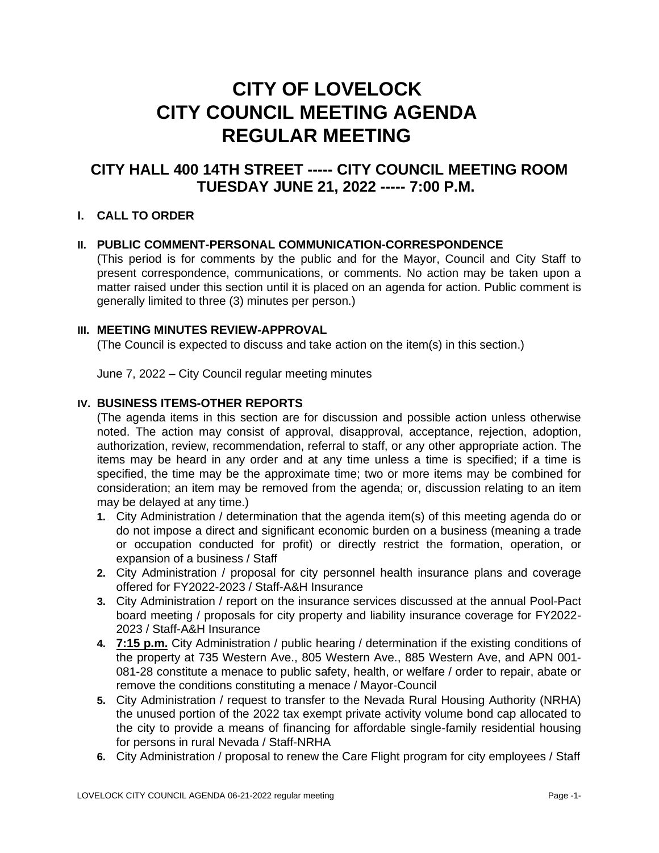# **CITY OF LOVELOCK CITY COUNCIL MEETING AGENDA REGULAR MEETING**

## **CITY HALL 400 14TH STREET ----- CITY COUNCIL MEETING ROOM TUESDAY JUNE 21, 2022 ----- 7:00 P.M.**

### **I. CALL TO ORDER**

#### **II. PUBLIC COMMENT-PERSONAL COMMUNICATION-CORRESPONDENCE**

(This period is for comments by the public and for the Mayor, Council and City Staff to present correspondence, communications, or comments. No action may be taken upon a matter raised under this section until it is placed on an agenda for action. Public comment is generally limited to three (3) minutes per person.)

#### **III. MEETING MINUTES REVIEW-APPROVAL**

(The Council is expected to discuss and take action on the item(s) in this section.)

June 7, 2022 – City Council regular meeting minutes

### **IV. BUSINESS ITEMS-OTHER REPORTS**

(The agenda items in this section are for discussion and possible action unless otherwise noted. The action may consist of approval, disapproval, acceptance, rejection, adoption, authorization, review, recommendation, referral to staff, or any other appropriate action. The items may be heard in any order and at any time unless a time is specified; if a time is specified, the time may be the approximate time; two or more items may be combined for consideration; an item may be removed from the agenda; or, discussion relating to an item may be delayed at any time.)

- **1.** City Administration / determination that the agenda item(s) of this meeting agenda do or do not impose a direct and significant economic burden on a business (meaning a trade or occupation conducted for profit) or directly restrict the formation, operation, or expansion of a business / Staff
- **2.** City Administration / proposal for city personnel health insurance plans and coverage offered for FY2022-2023 / Staff-A&H Insurance
- **3.** City Administration / report on the insurance services discussed at the annual Pool-Pact board meeting / proposals for city property and liability insurance coverage for FY2022- 2023 / Staff-A&H Insurance
- **4. 7:15 p.m.** City Administration / public hearing / determination if the existing conditions of the property at 735 Western Ave., 805 Western Ave., 885 Western Ave, and APN 001- 081-28 constitute a menace to public safety, health, or welfare / order to repair, abate or remove the conditions constituting a menace / Mayor-Council
- **5.** City Administration / request to transfer to the Nevada Rural Housing Authority (NRHA) the unused portion of the 2022 tax exempt private activity volume bond cap allocated to the city to provide a means of financing for affordable single-family residential housing for persons in rural Nevada / Staff-NRHA
- **6.** City Administration / proposal to renew the Care Flight program for city employees / Staff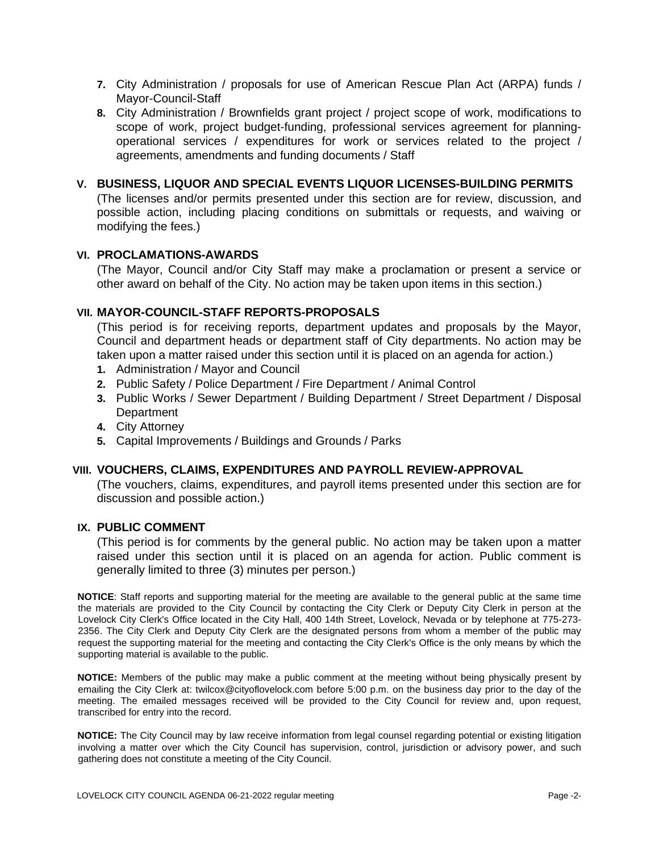- **7.** City Administration / proposals for use of American Rescue Plan Act (ARPA) funds / Mayor-Council-Staff
- **8.** City Administration / Brownfields grant project / project scope of work, modifications to scope of work, project budget-funding, professional services agreement for planningoperational services / expenditures for work or services related to the project / agreements, amendments and funding documents / Staff

#### **V. BUSINESS, LIQUOR AND SPECIAL EVENTS LIQUOR LICENSES-BUILDING PERMITS**

(The licenses and/or permits presented under this section are for review, discussion, and possible action, including placing conditions on submittals or requests, and waiving or modifying the fees.)

#### **VI. PROCLAMATIONS-AWARDS**

(The Mayor, Council and/or City Staff may make a proclamation or present a service or other award on behalf of the City. No action may be taken upon items in this section.)

#### **VII. MAYOR-COUNCIL-STAFF REPORTS-PROPOSALS**

(This period is for receiving reports, department updates and proposals by the Mayor, Council and department heads or department staff of City departments. No action may be taken upon a matter raised under this section until it is placed on an agenda for action.)

- **1.** Administration / Mayor and Council
- **2.** Public Safety / Police Department / Fire Department / Animal Control
- **3.** Public Works / Sewer Department / Building Department / Street Department / Disposal **Department**
- **4.** City Attorney
- **5.** Capital Improvements / Buildings and Grounds / Parks

#### **VIII. VOUCHERS, CLAIMS, EXPENDITURES AND PAYROLL REVIEW-APPROVAL**

(The vouchers, claims, expenditures, and payroll items presented under this section are for discussion and possible action.)

### **IX. PUBLIC COMMENT**

(This period is for comments by the general public. No action may be taken upon a matter raised under this section until it is placed on an agenda for action. Public comment is generally limited to three (3) minutes per person.)

**NOTICE**: Staff reports and supporting material for the meeting are available to the general public at the same time the materials are provided to the City Council by contacting the City Clerk or Deputy City Clerk in person at the Lovelock City Clerk's Office located in the City Hall, 400 14th Street, Lovelock, Nevada or by telephone at 775-273- 2356. The City Clerk and Deputy City Clerk are the designated persons from whom a member of the public may request the supporting material for the meeting and contacting the City Clerk's Office is the only means by which the supporting material is available to the public.

**NOTICE:** Members of the public may make a public comment at the meeting without being physically present by emailing the City Clerk at: twilcox@cityoflovelock.com before 5:00 p.m. on the business day prior to the day of the meeting. The emailed messages received will be provided to the City Council for review and, upon request, transcribed for entry into the record.

**NOTICE:** The City Council may by law receive information from legal counsel regarding potential or existing litigation involving a matter over which the City Council has supervision, control, jurisdiction or advisory power, and such gathering does not constitute a meeting of the City Council.